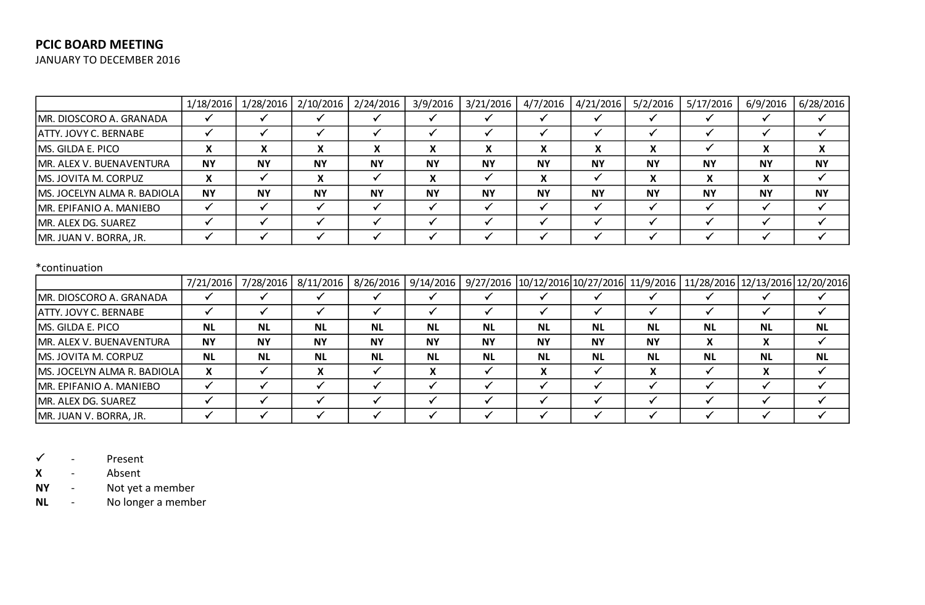# **PCIC BOARD MEETING**

JANUARY TO DECEMBER 2016

|                                | 1/18/2016 |           |           | 1/28/2016   2/10/2016   2/24/2016 | 3/9/2016  | 3/21/2016 | 4/7/2016          | 4/21/2016 | 5/2/2016  | 5/17/2016 | 6/9/2016  | 6/28/2016 |
|--------------------------------|-----------|-----------|-----------|-----------------------------------|-----------|-----------|-------------------|-----------|-----------|-----------|-----------|-----------|
| MR. DIOSCORO A. GRANADA        |           |           |           |                                   |           |           |                   |           |           |           |           |           |
| <b>ATTY. JOVY C. BERNABE</b>   |           |           |           |                                   |           |           |                   |           |           |           |           |           |
| MS. GILDA E. PICO              |           |           | Λ         | X                                 | X         |           | v<br>$\lambda$    | X         |           |           |           | X         |
| MR. ALEX V. BUENAVENTURA       | <b>NY</b> | <b>NY</b> | <b>NY</b> | <b>NY</b>                         | <b>NY</b> | <b>NY</b> | <b>NY</b>         | <b>NY</b> | <b>NY</b> | <b>NY</b> | <b>NY</b> | <b>NY</b> |
| MS. JOVITA M. CORPUZ           |           |           | v         |                                   | X         |           | v<br>$\mathbf{v}$ |           |           |           |           |           |
| MS. JOCELYN ALMA R. BADIOLA    | <b>NY</b> | <b>NY</b> | <b>NY</b> | <b>NY</b>                         | <b>NY</b> | <b>NY</b> | <b>NY</b>         | <b>NY</b> | <b>NY</b> | <b>NY</b> | <b>NY</b> | <b>NY</b> |
| <b>MR. EPIFANIO A. MANIEBO</b> |           |           |           |                                   |           |           |                   |           |           |           |           |           |
| MR. ALEX DG. SUAREZ            |           |           |           |                                   |           |           |                   |           |           |           |           |           |
| MR. JUAN V. BORRA, JR.         |           |           |           |                                   |           |           |                   |           |           |           |           |           |

### \*continuation

|                                      |           | 7/21/2016 7/28/2016 8/11/2016 |                   |           |                |           |           |           |           | 8/26/2016   9/14/2016   9/27/2016   10/12/2016   10/27/2016   11/9/2016   11/28/2016   12/13/2016   12/20/2016 |           |           |
|--------------------------------------|-----------|-------------------------------|-------------------|-----------|----------------|-----------|-----------|-----------|-----------|----------------------------------------------------------------------------------------------------------------|-----------|-----------|
| MR. DIOSCORO A. GRANADA              |           |                               |                   |           |                |           |           |           |           |                                                                                                                |           |           |
| ATTY. JOVY C. BERNABE                |           |                               |                   |           |                |           |           |           |           |                                                                                                                |           |           |
| MS. GILDA E. PICO                    | <b>NL</b> | <b>NL</b>                     | <b>NL</b>         | <b>NL</b> | <b>NL</b>      | <b>NL</b> | <b>NL</b> | <b>NL</b> | <b>NL</b> | <b>NL</b>                                                                                                      | <b>NL</b> | <b>NL</b> |
| MR. ALEX V. BUENAVENTURA             | <b>NY</b> | <b>NY</b>                     | <b>NY</b>         | <b>NY</b> | <b>NY</b>      | <b>NY</b> | <b>NY</b> | <b>NY</b> | <b>NY</b> | v<br>$\mathbf{v}$                                                                                              |           |           |
| <b>MS. JOVITA M. CORPUZ</b>          | <b>NL</b> | <b>NL</b>                     | <b>NL</b>         | <b>NL</b> | <b>NL</b>      | <b>NL</b> | <b>NL</b> | <b>NL</b> | <b>NL</b> | <b>NL</b>                                                                                                      | <b>NL</b> | <b>NL</b> |
| <b>IMS. JOCELYN ALMA R. BADIOLAI</b> | v         |                               | v<br>$\mathbf{A}$ |           | v<br>$\lambda$ |           | X         |           | X         |                                                                                                                |           |           |
| MR. EPIFANIO A. MANIEBO              |           |                               |                   |           |                |           |           |           |           |                                                                                                                |           |           |
| MR. ALEX DG. SUAREZ                  |           |                               |                   |           |                |           |           |           |           |                                                                                                                |           |           |
| MR. JUAN V. BORRA, JR.               |           |                               |                   |           |                |           |           |           |           |                                                                                                                |           |           |

 $\checkmark$  - Present

**X** - Absent

**NY** - Not yet a member

**NL** - No longer a member